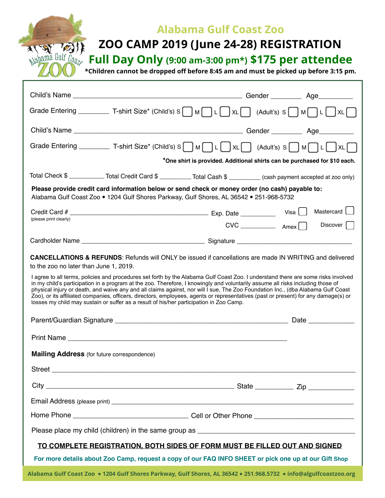

## **Alabama Gulf Coast Zoo**

## **ZOO CAMP 2019 (June 24-28) REGISTRATION**

**Full Day Only (9:00 am-3:00 pm\*) \$175 per attendee** 

**\*Children cannot be dropped off before 8:45 am and must be picked up before 3:15 pm.**

| Grade Entering ___________ T-shirt Size* (Child's) S $\begin{bmatrix}  M    L  \end{bmatrix}$ XL $\begin{bmatrix}   L    M  \end{bmatrix}$ (Adult's) S $\begin{bmatrix}  M    L  \end{bmatrix}$ XL $\begin{bmatrix}   L    L  \end{bmatrix}$                                                                                                                                                                                                                                                                                                                                                                                                                                                                                                                                                               |              |                 |  |  |
|------------------------------------------------------------------------------------------------------------------------------------------------------------------------------------------------------------------------------------------------------------------------------------------------------------------------------------------------------------------------------------------------------------------------------------------------------------------------------------------------------------------------------------------------------------------------------------------------------------------------------------------------------------------------------------------------------------------------------------------------------------------------------------------------------------|--------------|-----------------|--|--|
|                                                                                                                                                                                                                                                                                                                                                                                                                                                                                                                                                                                                                                                                                                                                                                                                            |              |                 |  |  |
|                                                                                                                                                                                                                                                                                                                                                                                                                                                                                                                                                                                                                                                                                                                                                                                                            |              |                 |  |  |
| Grade Entering _____________ T-shirt Size* (Child's) S ___] M ___] L ____] XL _____ (Adult's) S ___] M ____ L ____ XL ___                                                                                                                                                                                                                                                                                                                                                                                                                                                                                                                                                                                                                                                                                  |              |                 |  |  |
| *One shirt is provided. Additional shirts can be purchased for \$10 each.                                                                                                                                                                                                                                                                                                                                                                                                                                                                                                                                                                                                                                                                                                                                  |              |                 |  |  |
| Total Check \$ ____________ Total Credit Card \$ __________ Total Cash \$ _________ (cash payment accepted at zoo only)                                                                                                                                                                                                                                                                                                                                                                                                                                                                                                                                                                                                                                                                                    |              |                 |  |  |
| Please provide credit card information below or send check or money order (no cash) payable to:<br>Alabama Gulf Coast Zoo • 1204 Gulf Shores Parkway, Gulf Shores, AL 36542 • 251-968-5732                                                                                                                                                                                                                                                                                                                                                                                                                                                                                                                                                                                                                 |              |                 |  |  |
|                                                                                                                                                                                                                                                                                                                                                                                                                                                                                                                                                                                                                                                                                                                                                                                                            |              | Mastercard U    |  |  |
| (please print clearly)                                                                                                                                                                                                                                                                                                                                                                                                                                                                                                                                                                                                                                                                                                                                                                                     | $CVC$ $AmeX$ | Discover $\Box$ |  |  |
|                                                                                                                                                                                                                                                                                                                                                                                                                                                                                                                                                                                                                                                                                                                                                                                                            |              |                 |  |  |
| <b>CANCELLATIONS &amp; REFUNDS:</b> Refunds will ONLY be issued if cancellations are made IN WRITING and delivered<br>to the zoo no later than June 1, 2019.<br>I agree to all terms, policies and procedures set forth by the Alabama Gulf Coast Zoo. I understand there are some risks involved<br>in my child's participation in a program at the zoo. Therefore, I knowingly and voluntarily assume all risks including those of<br>physical injury or death, and waive any and all claims against, nor will I sue, The Zoo Foundation Inc., (dba Alabama Gulf Coast<br>Zoo), or its affiliated companies, officers, directors, employees, agents or representatives (past or present) for any damage(s) or<br>losses my child may sustain or suffer as a result of his/her participation in Zoo Camp. |              |                 |  |  |
|                                                                                                                                                                                                                                                                                                                                                                                                                                                                                                                                                                                                                                                                                                                                                                                                            |              |                 |  |  |
|                                                                                                                                                                                                                                                                                                                                                                                                                                                                                                                                                                                                                                                                                                                                                                                                            |              |                 |  |  |
| <b>Mailing Address</b> (for future correspondence)                                                                                                                                                                                                                                                                                                                                                                                                                                                                                                                                                                                                                                                                                                                                                         |              |                 |  |  |
|                                                                                                                                                                                                                                                                                                                                                                                                                                                                                                                                                                                                                                                                                                                                                                                                            |              |                 |  |  |
|                                                                                                                                                                                                                                                                                                                                                                                                                                                                                                                                                                                                                                                                                                                                                                                                            |              |                 |  |  |
|                                                                                                                                                                                                                                                                                                                                                                                                                                                                                                                                                                                                                                                                                                                                                                                                            |              |                 |  |  |
|                                                                                                                                                                                                                                                                                                                                                                                                                                                                                                                                                                                                                                                                                                                                                                                                            |              |                 |  |  |
|                                                                                                                                                                                                                                                                                                                                                                                                                                                                                                                                                                                                                                                                                                                                                                                                            |              |                 |  |  |
| TO COMPLETE REGISTRATION, BOTH SIDES OF FORM MUST BE FILLED OUT AND SIGNED                                                                                                                                                                                                                                                                                                                                                                                                                                                                                                                                                                                                                                                                                                                                 |              |                 |  |  |
| For more details about Zoo Camp, request a copy of our FAQ INFO SHEET or pick one up at our Gift Shop                                                                                                                                                                                                                                                                                                                                                                                                                                                                                                                                                                                                                                                                                                      |              |                 |  |  |
| Alabama Gulf Coast Zoo • 1204 Gulf Shores Parkway, Gulf Shores, AL 36542 • 251.968.5732 • info@algulfcoastzoo.org                                                                                                                                                                                                                                                                                                                                                                                                                                                                                                                                                                                                                                                                                          |              |                 |  |  |